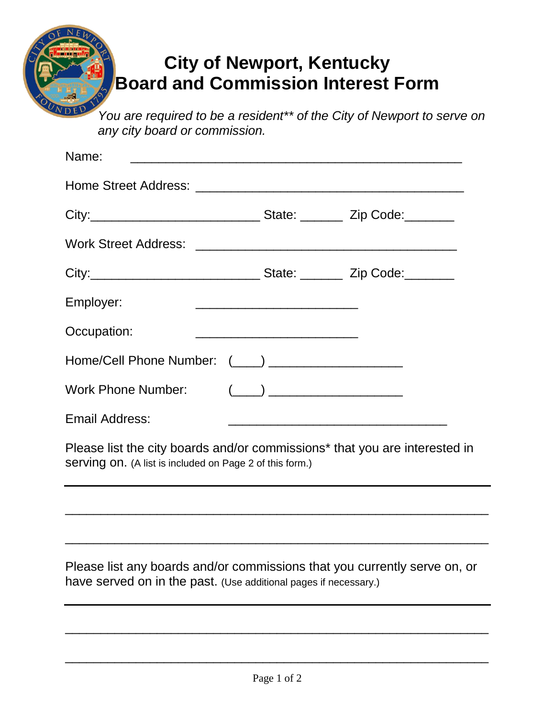## **City of Newport, Kentucky Board and Commission Interest Form**

*You are required to be a resident\*\* of the City of Newport to serve on any city board or commission.*

| Name:                                           | the contract of the contract of the contract of the contract of the contract of |  |
|-------------------------------------------------|---------------------------------------------------------------------------------|--|
|                                                 |                                                                                 |  |
|                                                 |                                                                                 |  |
|                                                 |                                                                                 |  |
|                                                 |                                                                                 |  |
| Employer:                                       |                                                                                 |  |
| Occupation:                                     |                                                                                 |  |
|                                                 |                                                                                 |  |
| Work Phone Number: (____) _____________________ |                                                                                 |  |
| Email Address:                                  |                                                                                 |  |

Please list the city boards and/or commissions\* that you are interested in serving on. (A list is included on Page 2 of this form.)

\_\_\_\_\_\_\_\_\_\_\_\_\_\_\_\_\_\_\_\_\_\_\_\_\_\_\_\_\_\_\_\_\_\_\_\_\_\_\_\_\_\_\_\_\_\_\_\_\_\_\_\_\_\_\_\_\_\_\_\_

\_\_\_\_\_\_\_\_\_\_\_\_\_\_\_\_\_\_\_\_\_\_\_\_\_\_\_\_\_\_\_\_\_\_\_\_\_\_\_\_\_\_\_\_\_\_\_\_\_\_\_\_\_\_\_\_\_\_\_\_

Please list any boards and/or commissions that you currently serve on, or have served on in the past. (Use additional pages if necessary.)

\_\_\_\_\_\_\_\_\_\_\_\_\_\_\_\_\_\_\_\_\_\_\_\_\_\_\_\_\_\_\_\_\_\_\_\_\_\_\_\_\_\_\_\_\_\_\_\_\_\_\_\_\_\_\_\_\_\_\_\_

\_\_\_\_\_\_\_\_\_\_\_\_\_\_\_\_\_\_\_\_\_\_\_\_\_\_\_\_\_\_\_\_\_\_\_\_\_\_\_\_\_\_\_\_\_\_\_\_\_\_\_\_\_\_\_\_\_\_\_\_